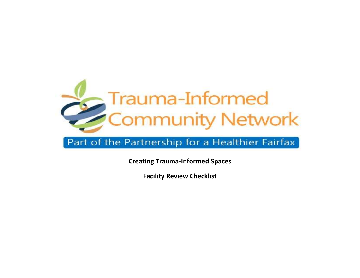

## Part of the Partnership for a Healthier Fairfax

**Creating Trauma-Informed Spaces** 

**Facility Review Checklist**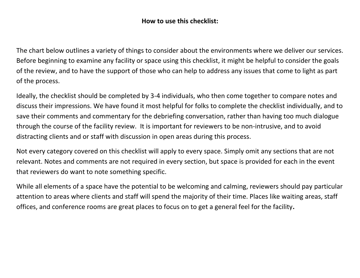#### **How to use this checklist:**

The chart below outlines a variety of things to consider about the environments where we deliver our services. Before beginning to examine any facility or space using this checklist, it might be helpful to consider the goals of the review, and to have the support of those who can help to address any issues that come to light as part of the process.

Ideally, the checklist should be completed by 3-4 individuals, who then come together to compare notes and discuss their impressions. We have found it most helpful for folks to complete the checklist individually, and to save their comments and commentary for the debriefing conversation, rather than having too much dialogue through the course of the facility review. It is important for reviewers to be non-intrusive, and to avoid distracting clients and or staff with discussion in open areas during this process.

Not every category covered on this checklist will apply to every space. Simply omit any sections that are not relevant. Notes and comments are not required in every section, but space is provided for each in the event that reviewers do want to note something specific.

While all elements of a space have the potential to be welcoming and calming, reviewers should pay particular attention to areas where clients and staff will spend the majority of their time. Places like waiting areas, staff offices, and conference rooms are great places to focus on to get a general feel for the facility**.**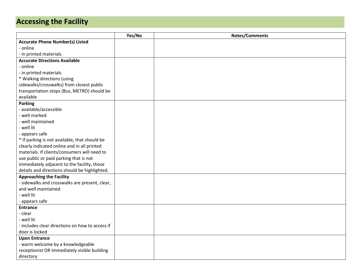# **Accessing the Facility**

|                                                 | Yes/No | <b>Notes/Comments</b> |
|-------------------------------------------------|--------|-----------------------|
| <b>Accurate Phone Number(s) Listed</b>          |        |                       |
| - online                                        |        |                       |
| - in printed materials                          |        |                       |
| <b>Accurate Directions Available</b>            |        |                       |
| - online                                        |        |                       |
| - in printed materials                          |        |                       |
| * Walking directions (using                     |        |                       |
| sidewalks/crosswalks) from closest public       |        |                       |
| transportation stops (Bus, METRO) should be     |        |                       |
| available                                       |        |                       |
| <b>Parking</b>                                  |        |                       |
| - available/accessible                          |        |                       |
| - well marked                                   |        |                       |
| - well maintained                               |        |                       |
| - well lit                                      |        |                       |
| - appears safe                                  |        |                       |
| * If parking is not available, that should be   |        |                       |
| clearly indicated online and in all printed     |        |                       |
| materials. If clients/consumers will need to    |        |                       |
| use public or paid parking that is not          |        |                       |
| immediately adjacent to the facility, those     |        |                       |
| details and directions should be highlighted.   |        |                       |
| <b>Approaching the Facility</b>                 |        |                       |
| - sidewalks and crosswalks are present, clear,  |        |                       |
| and well maintained                             |        |                       |
| - well lit                                      |        |                       |
| - appears safe                                  |        |                       |
| <b>Entrance</b>                                 |        |                       |
| - clear                                         |        |                       |
| - well lit                                      |        |                       |
| - includes clear directions on how to access if |        |                       |
| door is locked                                  |        |                       |
| <b>Upon Entrance</b>                            |        |                       |
| - warm welcome by a knowledgeable               |        |                       |
| receptionist OR immediately visible building    |        |                       |
| directory                                       |        |                       |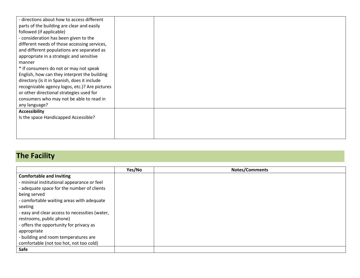| - directions about how to access different<br>parts of the building are clear and easily<br>followed (if applicable)<br>- consideration has been given to the<br>different needs of those accessing services,<br>and different populations are separated as<br>appropriate in a strategic and sensitive<br>manner<br>* If consumers do not or may not speak<br>English, how can they interpret the building<br>directory (is it in Spanish, does it include<br>recognizable agency logos, etc.)? Are pictures<br>or other directional strategies used for<br>consumers who may not be able to read in |  |
|-------------------------------------------------------------------------------------------------------------------------------------------------------------------------------------------------------------------------------------------------------------------------------------------------------------------------------------------------------------------------------------------------------------------------------------------------------------------------------------------------------------------------------------------------------------------------------------------------------|--|
| any language?                                                                                                                                                                                                                                                                                                                                                                                                                                                                                                                                                                                         |  |
| <b>Accessibility</b><br>Is the space Handicapped Accessible?                                                                                                                                                                                                                                                                                                                                                                                                                                                                                                                                          |  |
|                                                                                                                                                                                                                                                                                                                                                                                                                                                                                                                                                                                                       |  |

### **The Facility**

|                                                | Yes/No | <b>Notes/Comments</b> |
|------------------------------------------------|--------|-----------------------|
| <b>Comfortable and Inviting</b>                |        |                       |
| - minimal institutional appearance or feel     |        |                       |
| - adequate space for the number of clients     |        |                       |
| being served                                   |        |                       |
| - comfortable waiting areas with adequate      |        |                       |
| seating                                        |        |                       |
| - easy and clear access to necessities (water, |        |                       |
| restrooms, public phone)                       |        |                       |
| - offers the opportunity for privacy as        |        |                       |
| appropriate                                    |        |                       |
| - building and room temperatures are           |        |                       |
| comfortable (not too hot, not too cold)        |        |                       |
| Safe                                           |        |                       |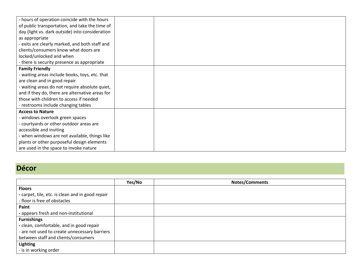| - hours of operation coincide with the hours    |  |
|-------------------------------------------------|--|
| of public transportation, and take the time of  |  |
| day (light vs. dark outside) into consideration |  |
| as appropriate                                  |  |
| - exits are clearly marked, and both staff and  |  |
| clients/consumers know what doors are           |  |
| locked/unlocked and when                        |  |
| - there is security presence as appropriate     |  |
| <b>Family Friendly</b>                          |  |
| - waiting areas include books, toys, etc. that  |  |
| are clean and in good repair                    |  |
| - waiting areas do not require absolute quiet,  |  |
| and if they do, there are alternative areas for |  |
| those with children to access if needed         |  |
| - restrooms include changing tables             |  |
| <b>Access to Nature</b>                         |  |
| - windows overlook green spaces                 |  |
| - courtyards or other outdoor areas are         |  |
| accessible and inviting                         |  |
| - when windows are not available, things like   |  |
| plants or other purposeful design elements      |  |
| are used in the space to invoke nature          |  |

### **Décor**

|                                                  | Yes/No | Notes/Comments |
|--------------------------------------------------|--------|----------------|
| <b>Floors</b>                                    |        |                |
| - carpet, tile, etc. is clean and in good repair |        |                |
| - floor is free of obstacles                     |        |                |
| Paint                                            |        |                |
| - appears fresh and non-institutional            |        |                |
| <b>Furnishings</b>                               |        |                |
| - clean, comfortable, and in good repair         |        |                |
| - are not used to create unnecessary barriers    |        |                |
| between staff and clients/consumers              |        |                |
| <b>Lighting</b>                                  |        |                |
| - is in working order                            |        |                |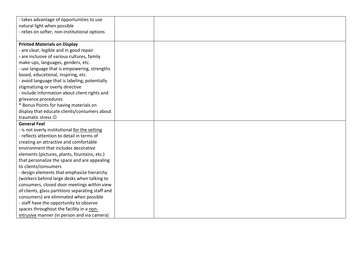| - takes advantage of opportunities to use         |  |
|---------------------------------------------------|--|
| natural light when possible                       |  |
| - relies on softer, non-institutional options     |  |
|                                                   |  |
| <b>Printed Materials on Display</b>               |  |
| - are clear, legible and in good repair           |  |
| - are inclusive of various cultures, family       |  |
| make-ups, languages, genders, etc.                |  |
| - use language that is empowering, strengths      |  |
| based, educational, inspiring, etc.               |  |
| - avoid language that is labeling, potentially    |  |
| stigmatizing or overly directive                  |  |
| - include information about client rights and     |  |
| grievance procedures                              |  |
| * Bonus Points for having materials on            |  |
| display that educate clients/consumers about      |  |
| traumatic stress $\odot$                          |  |
| <b>General Feel</b>                               |  |
| - is not overly institutional for the setting     |  |
| - reflects attention to detail in terms of        |  |
| creating an attractive and comfortable            |  |
| environment that includes decorative              |  |
| elements (pictures, plants, fountains, etc.)      |  |
| that personalize the space and are appealing      |  |
| to clients/consumers                              |  |
| - design elements that emphasize hierarchy        |  |
| (workers behind large desks when talking to       |  |
| consumers, closed door meetings within view       |  |
| of clients, glass partitions separating staff and |  |
| consumers) are eliminated when possible           |  |
| - staff have the opportunity to observe           |  |
| spaces throughout the facility in a non-          |  |
| intrusive manner (in person and via camera)       |  |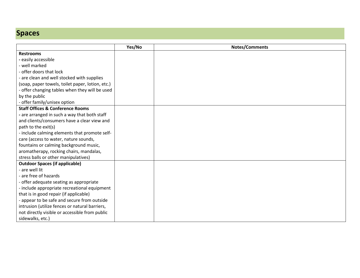## **Spaces**

|                                                  | Yes/No | <b>Notes/Comments</b> |
|--------------------------------------------------|--------|-----------------------|
| <b>Restrooms</b>                                 |        |                       |
| - easily accessible                              |        |                       |
| - well marked                                    |        |                       |
| - offer doors that lock                          |        |                       |
| - are clean and well stocked with supplies       |        |                       |
| (soap, paper towels, toilet paper, lotion, etc.) |        |                       |
| offer changing tables when they will be used     |        |                       |
| by the public                                    |        |                       |
| - offer family/unisex option                     |        |                       |
| <b>Staff Offices &amp; Conference Rooms</b>      |        |                       |
| - are arranged in such a way that both staff     |        |                       |
| and clients/consumers have a clear view and      |        |                       |
| path to the exit(s)                              |        |                       |
| - include calming elements that promote self-    |        |                       |
| care (access to water, nature sounds,            |        |                       |
| fountains or calming background music,           |        |                       |
| aromatherapy, rocking chairs, mandalas,          |        |                       |
| stress balls or other manipulatives)             |        |                       |
| <b>Outdoor Spaces (if applicable)</b>            |        |                       |
| - are well lit                                   |        |                       |
| are free of hazards                              |        |                       |
| - offer adequate seating as appropriate          |        |                       |
| - include appropriate recreational equipment     |        |                       |
| that is in good repair (if applicable)           |        |                       |
| - appear to be safe and secure from outside      |        |                       |
| intrusion (utilize fences or natural barriers,   |        |                       |
| not directly visible or accessible from public   |        |                       |
| sidewalks, etc.)                                 |        |                       |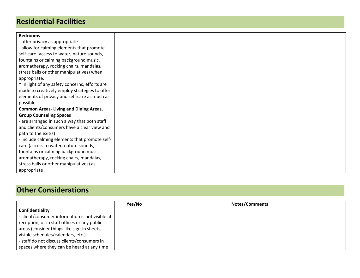#### **Residential Facilities**

| <b>Bedrooms</b>                                |  |
|------------------------------------------------|--|
| - offer privacy as appropriate                 |  |
| - allow for calming elements that promote      |  |
| self-care (access to water, nature sounds,     |  |
| fountains or calming background music,         |  |
| aromatherapy, rocking chairs, mandalas,        |  |
| stress balls or other manipulatives) when      |  |
| appropriate.                                   |  |
| * In light of any safety concerns, efforts are |  |
| made to creatively employ strategies to offer  |  |
| elements of privacy and self-care as much as   |  |
| possible                                       |  |
| <b>Common Areas- Living and Dining Areas,</b>  |  |
| <b>Group Counseling Spaces</b>                 |  |
| - are arranged in such a way that both staff   |  |
| and clients/consumers have a clear view and    |  |
| path to the exit(s)                            |  |
| - include calming elements that promote self-  |  |
| care (access to water, nature sounds,          |  |
| fountains or calming background music,         |  |
| aromatherapy, rocking chairs, mandalas,        |  |
| stress balls or other manipulatives) as        |  |
| appropriate                                    |  |

#### **Other Considerations**

|                                                 | Yes/No | <b>Notes/Comments</b> |
|-------------------------------------------------|--------|-----------------------|
| Confidentiality                                 |        |                       |
| - client/consumer information is not visible at |        |                       |
| reception, or in staff offices or any public    |        |                       |
| areas (consider things like sign-in sheets,     |        |                       |
| visible schedules/calendars, etc.)              |        |                       |
| - staff do not discuss clients/consumers in     |        |                       |
| spaces where they can be heard at any time      |        |                       |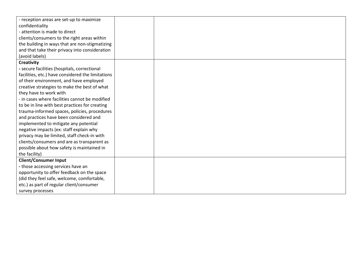| - reception areas are set-up to maximize          |  |
|---------------------------------------------------|--|
| confidentiality                                   |  |
| - attention is made to direct                     |  |
| clients/consumers to the right areas within       |  |
| the building in ways that are non-stigmatizing    |  |
| and that take their privacy into consideration    |  |
| (avoid labels)                                    |  |
| <b>Creativity</b>                                 |  |
| - secure facilities (hospitals, correctional      |  |
| facilities, etc.) have considered the limitations |  |
| of their environment, and have employed           |  |
| creative strategies to make the best of what      |  |
| they have to work with                            |  |
| - in cases where facilities cannot be modified    |  |
| to be in line with best practices for creating    |  |
| trauma-informed spaces, policies, procedures      |  |
| and practices have been considered and            |  |
| implemented to mitigate any potential             |  |
| negative impacts (ex: staff explain why           |  |
| privacy may be limited, staff check-in with       |  |
| clients/consumers and are as transparent as       |  |
| possible about how safety is maintained in        |  |
| the facility)                                     |  |
| <b>Client/Consumer Input</b>                      |  |
| - those accessing services have an                |  |
| opportunity to offer feedback on the space        |  |
| (did they feel safe, welcome, comfortable,        |  |
| etc.) as part of regular client/consumer          |  |
| survey processes                                  |  |